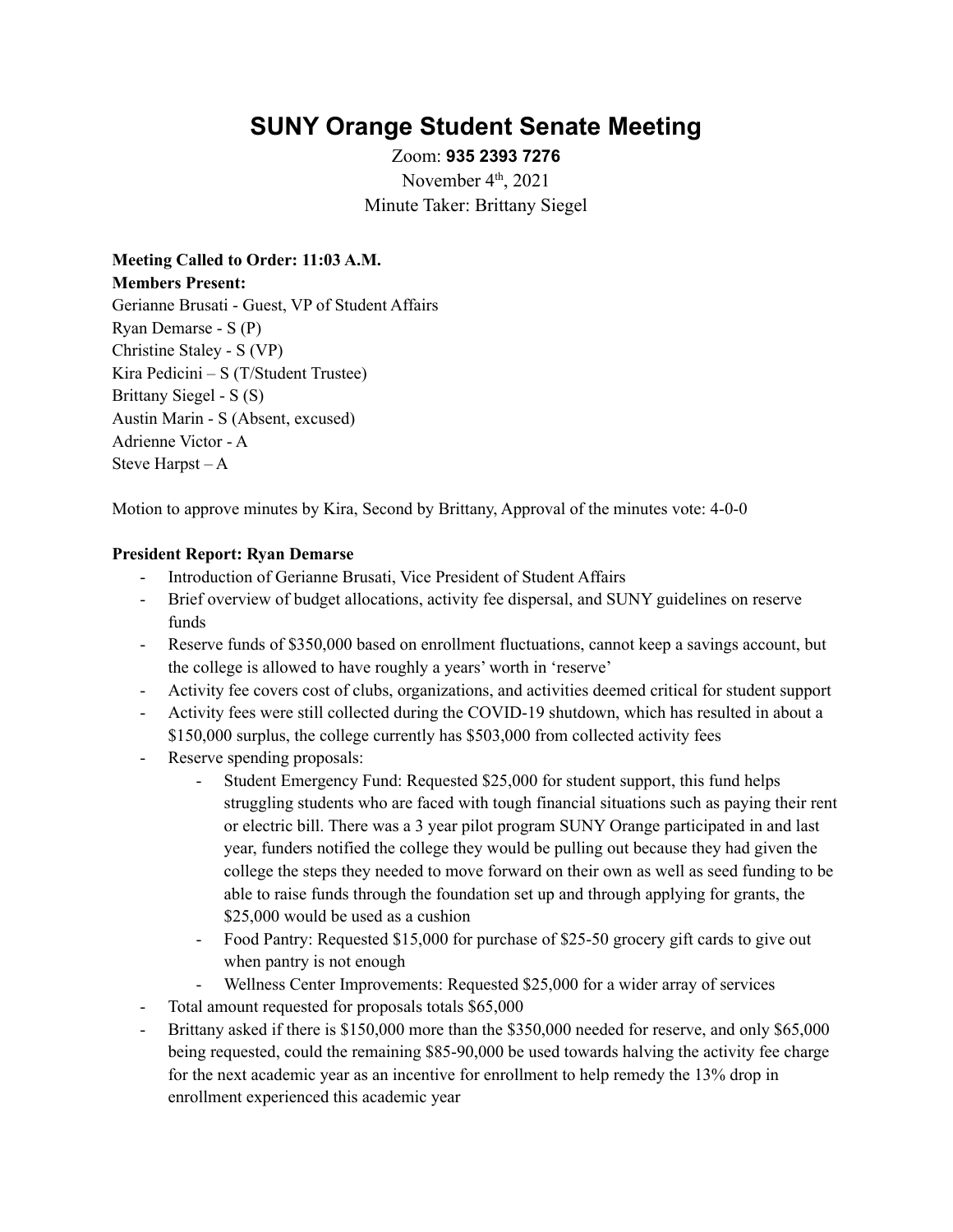# **SUNY Orange Student Senate Meeting**

Zoom: **935 2393 7276** November  $4<sup>th</sup>$ , 2021 Minute Taker: Brittany Siegel

**Meeting Called to Order: 11:03 A.M. Members Present:** Gerianne Brusati - Guest, VP of Student Affairs Ryan Demarse - S (P) Christine Staley - S (VP) Kira Pedicini – S (T/Student Trustee) Brittany Siegel - S (S) Austin Marin - S (Absent, excused) Adrienne Victor - A Steve Harpst – A

Motion to approve minutes by Kira, Second by Brittany, Approval of the minutes vote: 4-0-0

## **President Report: Ryan Demarse**

- Introduction of Gerianne Brusati, Vice President of Student Affairs
- Brief overview of budget allocations, activity fee dispersal, and SUNY guidelines on reserve funds
- Reserve funds of \$350,000 based on enrollment fluctuations, cannot keep a savings account, but the college is allowed to have roughly a years' worth in 'reserve'
- Activity fee covers cost of clubs, organizations, and activities deemed critical for student support
- Activity fees were still collected during the COVID-19 shutdown, which has resulted in about a \$150,000 surplus, the college currently has \$503,000 from collected activity fees
- Reserve spending proposals:
	- Student Emergency Fund: Requested \$25,000 for student support, this fund helps struggling students who are faced with tough financial situations such as paying their rent or electric bill. There was a 3 year pilot program SUNY Orange participated in and last year, funders notified the college they would be pulling out because they had given the college the steps they needed to move forward on their own as well as seed funding to be able to raise funds through the foundation set up and through applying for grants, the \$25,000 would be used as a cushion
	- Food Pantry: Requested \$15,000 for purchase of \$25-50 grocery gift cards to give out when pantry is not enough
	- Wellness Center Improvements: Requested \$25,000 for a wider array of services
- Total amount requested for proposals totals \$65,000
- Brittany asked if there is \$150,000 more than the \$350,000 needed for reserve, and only \$65,000 being requested, could the remaining \$85-90,000 be used towards halving the activity fee charge for the next academic year as an incentive for enrollment to help remedy the 13% drop in enrollment experienced this academic year